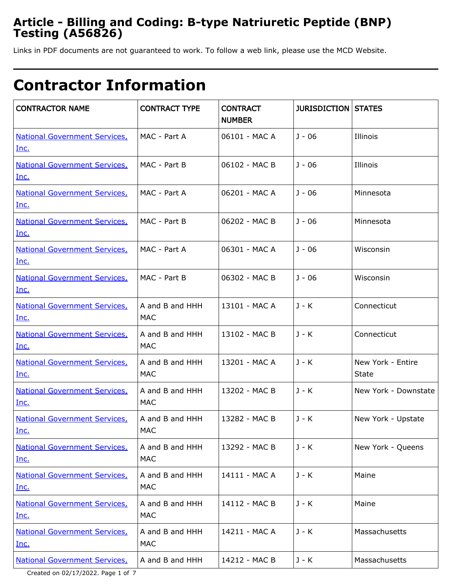## **Article - Billing and Coding: B-type Natriuretic Peptide (BNP) Testing (A56826)**

Links in PDF documents are not guaranteed to work. To follow a web link, please use the MCD Website.

# **Contractor Information**

| <b>CONTRACTOR NAME</b>                              | <b>CONTRACT TYPE</b>          | <b>CONTRACT</b><br><b>NUMBER</b> | <b>JURISDICTION STATES</b> |                                   |
|-----------------------------------------------------|-------------------------------|----------------------------------|----------------------------|-----------------------------------|
| <b>National Government Services,</b><br>Inc.        | MAC - Part A                  | 06101 - MAC A                    | J - 06                     | Illinois                          |
| <b>National Government Services,</b><br>Inc.        | MAC - Part B                  | 06102 - MAC B                    | J - 06                     | Illinois                          |
| <b>National Government Services,</b><br>Inc.        | MAC - Part A                  | 06201 - MAC A                    | $J - 06$                   | Minnesota                         |
| <b>National Government Services,</b><br>Inc.        | MAC - Part B                  | 06202 - MAC B                    | $J - 06$                   | Minnesota                         |
| <b>National Government Services,</b><br><u>Inc.</u> | MAC - Part A                  | 06301 - MAC A                    | $J - 06$                   | Wisconsin                         |
| <b>National Government Services,</b><br>Inc.        | MAC - Part B                  | 06302 - MAC B                    | $J - 06$                   | Wisconsin                         |
| <b>National Government Services,</b><br><u>Inc.</u> | A and B and HHH<br>MAC        | 13101 - MAC A                    | J - K                      | Connecticut                       |
| <b>National Government Services,</b><br>Inc.        | A and B and HHH<br><b>MAC</b> | 13102 - MAC B                    | $J - K$                    | Connecticut                       |
| <b>National Government Services,</b><br><u>Inc.</u> | A and B and HHH<br>MAC        | 13201 - MAC A                    | $J - K$                    | New York - Entire<br><b>State</b> |
| <b>National Government Services,</b><br>Inc.        | A and B and HHH<br>MAC        | 13202 - MAC B                    | J - K                      | New York - Downstate              |
| <b>National Government Services,</b><br>Inc.        | A and B and HHH<br>MAC        | 13282 - MAC B                    | J - K                      | New York - Upstate                |
| <b>National Government Services,</b><br>Inc.        | A and B and HHH<br><b>MAC</b> | 13292 - MAC B                    | J - K                      | New York - Queens                 |
| <b>National Government Services,</b><br>Inc.        | A and B and HHH<br><b>MAC</b> | 14111 - MAC A                    | $J - K$                    | Maine                             |
| <b>National Government Services,</b><br><u>Inc.</u> | A and B and HHH<br><b>MAC</b> | 14112 - MAC B                    | J - K                      | Maine                             |
| <b>National Government Services,</b><br><u>Inc.</u> | A and B and HHH<br><b>MAC</b> | 14211 - MAC A                    | J - K                      | Massachusetts                     |
| <b>National Government Services,</b>                | A and B and HHH               | 14212 - MAC B                    | $J - K$                    | Massachusetts                     |

Created on 02/17/2022. Page 1 of 7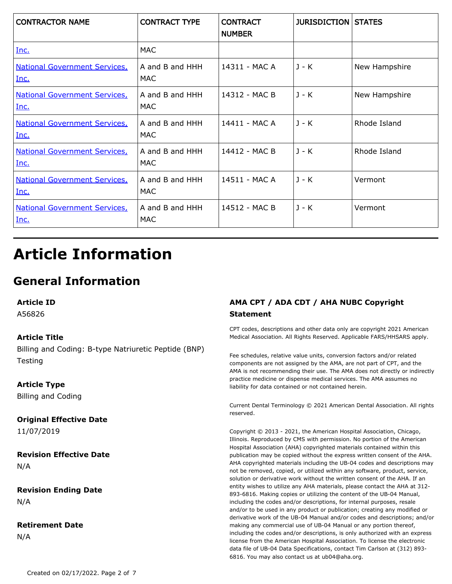| <b>CONTRACTOR NAME</b>                       | <b>CONTRACT TYPE</b>   | <b>CONTRACT</b><br><b>NUMBER</b> | <b>JURISDICTION STATES</b> |               |
|----------------------------------------------|------------------------|----------------------------------|----------------------------|---------------|
| Inc.                                         | MAC                    |                                  |                            |               |
| <b>National Government Services</b><br>Inc.  | A and B and HHH<br>MAC | 14311 - MAC A                    | J - K                      | New Hampshire |
| <b>National Government Services,</b><br>Inc. | A and B and HHH<br>MAC | 14312 - MAC B                    | $J - K$                    | New Hampshire |
| <b>National Government Services,</b><br>Inc. | A and B and HHH<br>MAC | 14411 - MAC A                    | $J - K$                    | Rhode Island  |
| <b>National Government Services</b><br>Inc.  | A and B and HHH<br>MAC | 14412 - MAC B                    | $J - K$                    | Rhode Island  |
| <b>National Government Services,</b><br>Inc. | A and B and HHH<br>MAC | 14511 - MAC A                    | $J - K$                    | Vermont       |
| <b>National Government Services</b><br>Inc.  | A and B and HHH<br>MAC | 14512 - MAC B                    | J - K                      | Vermont       |

# **Article Information**

## **General Information**

**Article ID**

A56826

#### **Article Title**

Billing and Coding: B-type Natriuretic Peptide (BNP) **Testing** 

#### **Article Type**

Billing and Coding

### **Original Effective Date**

11/07/2019

**Revision Effective Date** N/A

**Revision Ending Date** N/A

#### **Retirement Date** N/A

#### **AMA CPT / ADA CDT / AHA NUBC Copyright Statement**

CPT codes, descriptions and other data only are copyright 2021 American Medical Association. All Rights Reserved. Applicable FARS/HHSARS apply.

Fee schedules, relative value units, conversion factors and/or related components are not assigned by the AMA, are not part of CPT, and the AMA is not recommending their use. The AMA does not directly or indirectly practice medicine or dispense medical services. The AMA assumes no liability for data contained or not contained herein.

Current Dental Terminology © 2021 American Dental Association. All rights reserved.

Copyright © 2013 - 2021, the American Hospital Association, Chicago, Illinois. Reproduced by CMS with permission. No portion of the American Hospital Association (AHA) copyrighted materials contained within this publication may be copied without the express written consent of the AHA. AHA copyrighted materials including the UB-04 codes and descriptions may not be removed, copied, or utilized within any software, product, service, solution or derivative work without the written consent of the AHA. If an entity wishes to utilize any AHA materials, please contact the AHA at 312- 893-6816. Making copies or utilizing the content of the UB-04 Manual, including the codes and/or descriptions, for internal purposes, resale and/or to be used in any product or publication; creating any modified or derivative work of the UB-04 Manual and/or codes and descriptions; and/or making any commercial use of UB-04 Manual or any portion thereof, including the codes and/or descriptions, is only authorized with an express license from the American Hospital Association. To license the electronic data file of UB-04 Data Specifications, contact Tim Carlson at (312) 893- 6816. You may also contact us at ub04@aha.org.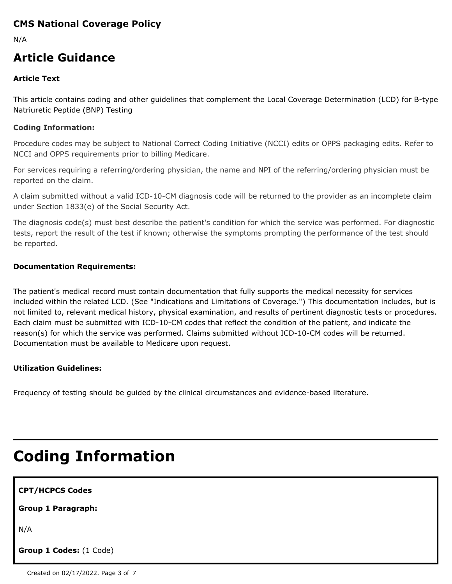### **CMS National Coverage Policy**

N/A

## **Article Guidance**

#### **Article Text**

This article contains coding and other guidelines that complement the Local Coverage Determination (LCD) for B-type Natriuretic Peptide (BNP) Testing

#### **Coding Information:**

Procedure codes may be subject to National Correct Coding Initiative (NCCI) edits or OPPS packaging edits. Refer to NCCI and OPPS requirements prior to billing Medicare.

For services requiring a referring/ordering physician, the name and NPI of the referring/ordering physician must be reported on the claim.

A claim submitted without a valid ICD-10-CM diagnosis code will be returned to the provider as an incomplete claim under Section 1833(e) of the Social Security Act.

The diagnosis code(s) must best describe the patient's condition for which the service was performed. For diagnostic tests, report the result of the test if known; otherwise the symptoms prompting the performance of the test should be reported.

#### **Documentation Requirements:**

The patient's medical record must contain documentation that fully supports the medical necessity for services included within the related LCD. (See "Indications and Limitations of Coverage.") This documentation includes, but is not limited to, relevant medical history, physical examination, and results of pertinent diagnostic tests or procedures. Each claim must be submitted with ICD-10-CM codes that reflect the condition of the patient, and indicate the reason(s) for which the service was performed. Claims submitted without ICD-10-CM codes will be returned. Documentation must be available to Medicare upon request.

#### **Utilization Guidelines:**

Frequency of testing should be guided by the clinical circumstances and evidence-based literature.

# **Coding Information**

| <b>CPT/HCPCS Codes</b> |  |
|------------------------|--|
|------------------------|--|

**Group 1 Paragraph:**

N/A

**Group 1 Codes:** (1 Code)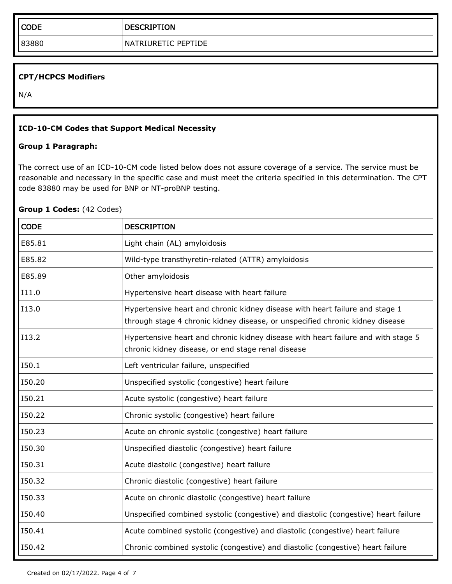#### **CPT/HCPCS Modifiers**

N/A

#### **ICD-10-CM Codes that Support Medical Necessity**

#### **Group 1 Paragraph:**

The correct use of an ICD-10-CM code listed below does not assure coverage of a service. The service must be reasonable and necessary in the specific case and must meet the criteria specified in this determination. The CPT code 83880 may be used for BNP or NT-proBNP testing.

#### **Group 1 Codes:** (42 Codes)

| <b>CODE</b> | <b>DESCRIPTION</b>                                                                                                                                            |
|-------------|---------------------------------------------------------------------------------------------------------------------------------------------------------------|
| E85.81      | Light chain (AL) amyloidosis                                                                                                                                  |
| E85.82      | Wild-type transthyretin-related (ATTR) amyloidosis                                                                                                            |
| E85.89      | Other amyloidosis                                                                                                                                             |
| I11.0       | Hypertensive heart disease with heart failure                                                                                                                 |
| I13.0       | Hypertensive heart and chronic kidney disease with heart failure and stage 1<br>through stage 4 chronic kidney disease, or unspecified chronic kidney disease |
| I13.2       | Hypertensive heart and chronic kidney disease with heart failure and with stage 5<br>chronic kidney disease, or end stage renal disease                       |
| I50.1       | Left ventricular failure, unspecified                                                                                                                         |
| I50.20      | Unspecified systolic (congestive) heart failure                                                                                                               |
| I50.21      | Acute systolic (congestive) heart failure                                                                                                                     |
| I50.22      | Chronic systolic (congestive) heart failure                                                                                                                   |
| I50.23      | Acute on chronic systolic (congestive) heart failure                                                                                                          |
| I50.30      | Unspecified diastolic (congestive) heart failure                                                                                                              |
| 150.31      | Acute diastolic (congestive) heart failure                                                                                                                    |
| 150.32      | Chronic diastolic (congestive) heart failure                                                                                                                  |
| I50.33      | Acute on chronic diastolic (congestive) heart failure                                                                                                         |
| I50.40      | Unspecified combined systolic (congestive) and diastolic (congestive) heart failure                                                                           |
| I50.41      | Acute combined systolic (congestive) and diastolic (congestive) heart failure                                                                                 |
| I50.42      | Chronic combined systolic (congestive) and diastolic (congestive) heart failure                                                                               |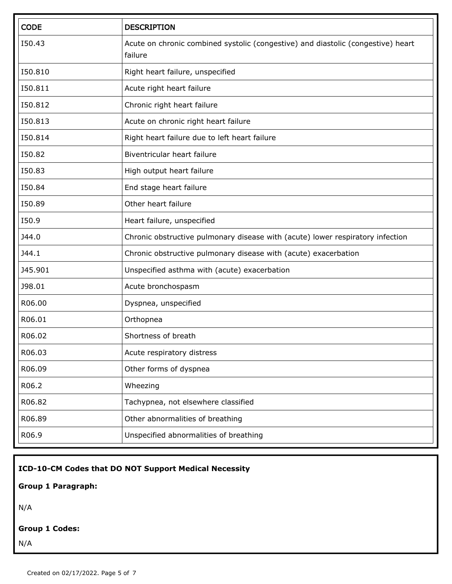| <b>CODE</b> | <b>DESCRIPTION</b>                                                                          |
|-------------|---------------------------------------------------------------------------------------------|
| I50.43      | Acute on chronic combined systolic (congestive) and diastolic (congestive) heart<br>failure |
| 150.810     | Right heart failure, unspecified                                                            |
| I50.811     | Acute right heart failure                                                                   |
| 150.812     | Chronic right heart failure                                                                 |
| 150.813     | Acute on chronic right heart failure                                                        |
| 150.814     | Right heart failure due to left heart failure                                               |
| I50.82      | Biventricular heart failure                                                                 |
| I50.83      | High output heart failure                                                                   |
| I50.84      | End stage heart failure                                                                     |
| I50.89      | Other heart failure                                                                         |
| I50.9       | Heart failure, unspecified                                                                  |
| J44.0       | Chronic obstructive pulmonary disease with (acute) lower respiratory infection              |
| J44.1       | Chronic obstructive pulmonary disease with (acute) exacerbation                             |
| J45.901     | Unspecified asthma with (acute) exacerbation                                                |
| J98.01      | Acute bronchospasm                                                                          |
| R06.00      | Dyspnea, unspecified                                                                        |
| R06.01      | Orthopnea                                                                                   |
| R06.02      | Shortness of breath                                                                         |
| R06.03      | Acute respiratory distress                                                                  |
| R06.09      | Other forms of dyspnea                                                                      |
| R06.2       | Wheezing                                                                                    |
| R06.82      | Tachypnea, not elsewhere classified                                                         |
| R06.89      | Other abnormalities of breathing                                                            |
| R06.9       | Unspecified abnormalities of breathing                                                      |

**ICD-10-CM Codes that DO NOT Support Medical Necessity**

**Group 1 Paragraph:**

N/A

#### **Group 1 Codes:**

N/A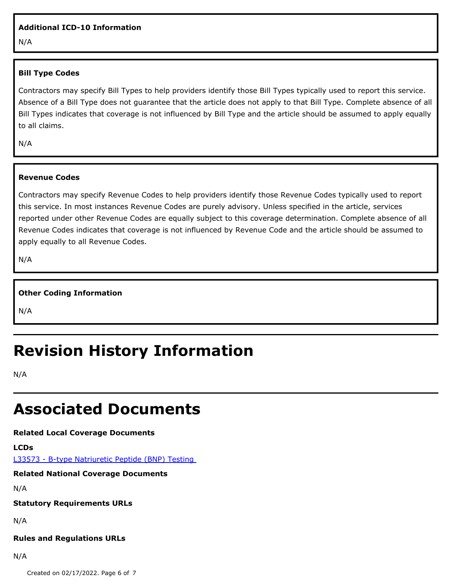#### **Additional ICD-10 Information**

N/A

#### **Bill Type Codes**

Contractors may specify Bill Types to help providers identify those Bill Types typically used to report this service. Absence of a Bill Type does not guarantee that the article does not apply to that Bill Type. Complete absence of all Bill Types indicates that coverage is not influenced by Bill Type and the article should be assumed to apply equally to all claims.

N/A

#### **Revenue Codes**

Contractors may specify Revenue Codes to help providers identify those Revenue Codes typically used to report this service. In most instances Revenue Codes are purely advisory. Unless specified in the article, services reported under other Revenue Codes are equally subject to this coverage determination. Complete absence of all Revenue Codes indicates that coverage is not influenced by Revenue Code and the article should be assumed to apply equally to all Revenue Codes.

N/A

#### **Other Coding Information**

N/A

## **Revision History Information**

N/A

## **Associated Documents**

**Related Local Coverage Documents**

**LCDs**

[L33573 - B-type Natriuretic Peptide \(BNP\) Testing](./lcd.aspx?lcdId=33573&ver=24) 

**Related National Coverage Documents**

N/A

**Statutory Requirements URLs**

N/A

#### **Rules and Regulations URLs**

N/A